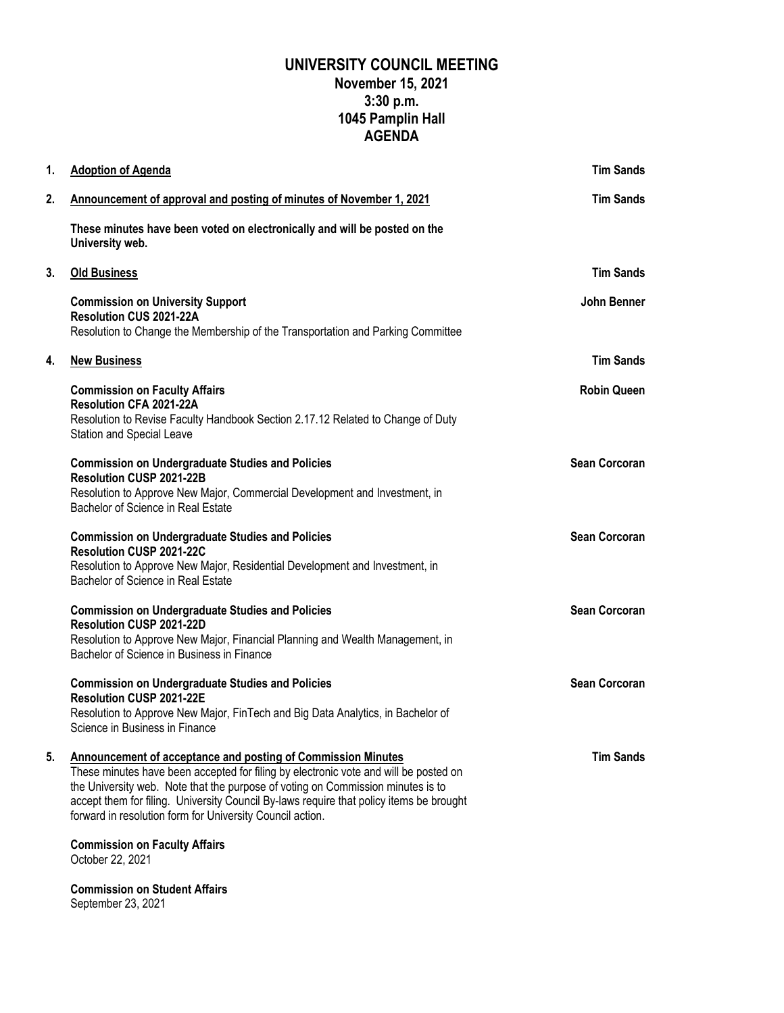## **UNIVERSITY COUNCIL MEETING November 15, 2021 3:30 p.m. 1045 Pamplin Hall AGENDA**

| 1. | <b>Adoption of Agenda</b>                                                                                                                                                                                                                                                                                                                                                                              | <b>Tim Sands</b>     |
|----|--------------------------------------------------------------------------------------------------------------------------------------------------------------------------------------------------------------------------------------------------------------------------------------------------------------------------------------------------------------------------------------------------------|----------------------|
| 2. | Announcement of approval and posting of minutes of November 1, 2021                                                                                                                                                                                                                                                                                                                                    | <b>Tim Sands</b>     |
|    | These minutes have been voted on electronically and will be posted on the<br>University web.                                                                                                                                                                                                                                                                                                           |                      |
| 3. | <b>Old Business</b>                                                                                                                                                                                                                                                                                                                                                                                    | <b>Tim Sands</b>     |
|    | <b>Commission on University Support</b><br>Resolution CUS 2021-22A<br>Resolution to Change the Membership of the Transportation and Parking Committee                                                                                                                                                                                                                                                  | John Benner          |
| 4. | <b>New Business</b>                                                                                                                                                                                                                                                                                                                                                                                    | <b>Tim Sands</b>     |
|    | <b>Commission on Faculty Affairs</b><br>Resolution CFA 2021-22A<br>Resolution to Revise Faculty Handbook Section 2.17.12 Related to Change of Duty<br><b>Station and Special Leave</b>                                                                                                                                                                                                                 | <b>Robin Queen</b>   |
|    | <b>Commission on Undergraduate Studies and Policies</b><br>Resolution CUSP 2021-22B<br>Resolution to Approve New Major, Commercial Development and Investment, in<br>Bachelor of Science in Real Estate                                                                                                                                                                                                | <b>Sean Corcoran</b> |
|    | <b>Commission on Undergraduate Studies and Policies</b><br>Resolution CUSP 2021-22C<br>Resolution to Approve New Major, Residential Development and Investment, in<br>Bachelor of Science in Real Estate                                                                                                                                                                                               | <b>Sean Corcoran</b> |
|    | <b>Commission on Undergraduate Studies and Policies</b><br><b>Resolution CUSP 2021-22D</b><br>Resolution to Approve New Major, Financial Planning and Wealth Management, in<br>Bachelor of Science in Business in Finance                                                                                                                                                                              | <b>Sean Corcoran</b> |
|    | <b>Commission on Undergraduate Studies and Policies</b><br><b>Resolution CUSP 2021-22E</b><br>Resolution to Approve New Major, FinTech and Big Data Analytics, in Bachelor of<br>Science in Business in Finance                                                                                                                                                                                        | <b>Sean Corcoran</b> |
| 5. | <b>Announcement of acceptance and posting of Commission Minutes</b><br>These minutes have been accepted for filing by electronic vote and will be posted on<br>the University web. Note that the purpose of voting on Commission minutes is to<br>accept them for filing. University Council By-laws require that policy items be brought<br>forward in resolution form for University Council action. | <b>Tim Sands</b>     |
|    | <b>Commission on Faculty Affairs</b><br>October 22, 2021                                                                                                                                                                                                                                                                                                                                               |                      |
|    | <b>Commission on Student Affairs</b><br>September 23, 2021                                                                                                                                                                                                                                                                                                                                             |                      |